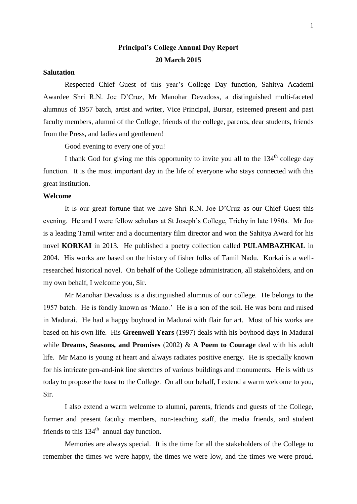# **Principal's College Annual Day Report 20 March 2015**

### **Salutation**

Respected Chief Guest of this year's College Day function, Sahitya Academi Awardee Shri R.N. Joe D'Cruz, Mr Manohar Devadoss, a distinguished multi-faceted alumnus of 1957 batch, artist and writer, Vice Principal, Bursar, esteemed present and past faculty members, alumni of the College, friends of the college, parents, dear students, friends from the Press, and ladies and gentlemen!

Good evening to every one of you!

I thank God for giving me this opportunity to invite you all to the  $134<sup>th</sup>$  college day function. It is the most important day in the life of everyone who stays connected with this great institution.

#### **Welcome**

It is our great fortune that we have Shri R.N. Joe D'Cruz as our Chief Guest this evening. He and I were fellow scholars at St Joseph's College, Trichy in late 1980s. Mr Joe is a leading Tamil writer and a documentary film director and won the Sahitya Award for his novel **KORKAI** in 2013. He published a poetry collection called **PULAMBAZHKAL** in 2004. His works are based on the history of fisher folks of Tamil Nadu. Korkai is a wellresearched historical novel. On behalf of the College administration, all stakeholders, and on my own behalf, I welcome you, Sir.

Mr Manohar Devadoss is a distinguished alumnus of our college. He belongs to the 1957 batch. He is fondly known as 'Mano.' He is a son of the soil. He was born and raised in Madurai. He had a happy boyhood in Madurai with flair for art. Most of his works are based on his own life. His **Greenwell Years** (1997) deals with his boyhood days in Madurai while **Dreams, Seasons, and Promises** (2002) & **A Poem to Courage** deal with his adult life. Mr Mano is young at heart and always radiates positive energy. He is specially known for his intricate pen-and-ink line sketches of various buildings and monuments. He is with us today to propose the toast to the College. On all our behalf, I extend a warm welcome to you, Sir.

I also extend a warm welcome to alumni, parents, friends and guests of the College, former and present faculty members, non-teaching staff, the media friends, and student friends to this  $134<sup>th</sup>$  annual day function.

Memories are always special. It is the time for all the stakeholders of the College to remember the times we were happy, the times we were low, and the times we were proud.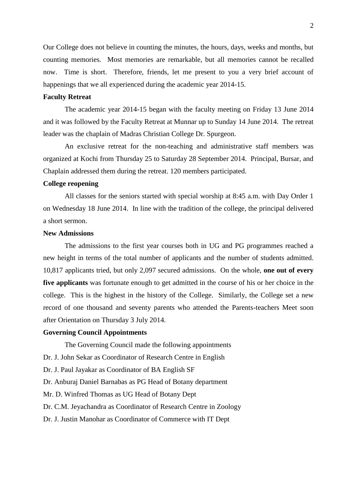Our College does not believe in counting the minutes, the hours, days, weeks and months, but counting memories. Most memories are remarkable, but all memories cannot be recalled now. Time is short. Therefore, friends, let me present to you a very brief account of happenings that we all experienced during the academic year 2014-15.

### **Faculty Retreat**

The academic year 2014-15 began with the faculty meeting on Friday 13 June 2014 and it was followed by the Faculty Retreat at Munnar up to Sunday 14 June 2014. The retreat leader was the chaplain of Madras Christian College Dr. Spurgeon.

An exclusive retreat for the non-teaching and administrative staff members was organized at Kochi from Thursday 25 to Saturday 28 September 2014. Principal, Bursar, and Chaplain addressed them during the retreat. 120 members participated.

#### **College reopening**

All classes for the seniors started with special worship at 8:45 a.m. with Day Order 1 on Wednesday 18 June 2014. In line with the tradition of the college, the principal delivered a short sermon.

# **New Admissions**

The admissions to the first year courses both in UG and PG programmes reached a new height in terms of the total number of applicants and the number of students admitted. 10,817 applicants tried, but only 2,097 secured admissions. On the whole, **one out of every five applicants** was fortunate enough to get admitted in the course of his or her choice in the college. This is the highest in the history of the College. Similarly, the College set a new record of one thousand and seventy parents who attended the Parents-teachers Meet soon after Orientation on Thursday 3 July 2014.

#### **Governing Council Appointments**

The Governing Council made the following appointments

Dr. J. John Sekar as Coordinator of Research Centre in English

Dr. J. Paul Jayakar as Coordinator of BA English SF

Dr. Anburaj Daniel Barnabas as PG Head of Botany department

Mr. D. Winfred Thomas as UG Head of Botany Dept

Dr. C.M. Jeyachandra as Coordinator of Research Centre in Zoology

Dr. J. Justin Manohar as Coordinator of Commerce with IT Dept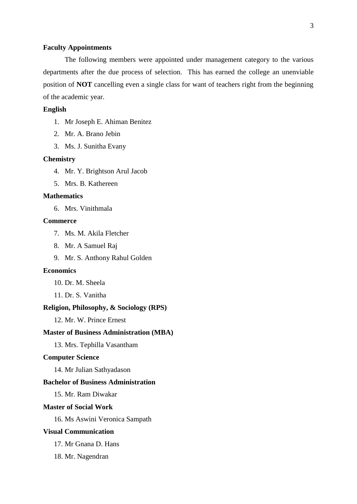#### **Faculty Appointments**

The following members were appointed under management category to the various departments after the due process of selection. This has earned the college an unenviable position of **NOT** cancelling even a single class for want of teachers right from the beginning of the academic year.

#### **English**

- 1. Mr Joseph E. Ahiman Benitez
- 2. Mr. A. Brano Jebin
- 3. Ms. J. Sunitha Evany

#### **Chemistry**

- 4. Mr. Y. Brightson Arul Jacob
- 5. Mrs. B. Kathereen

#### **Mathematics**

6. Mrs. Vinithmala

# **Commerce**

- 7. Ms. M. Akila Fletcher
- 8. Mr. A Samuel Raj
- 9. Mr. S. Anthony Rahul Golden

#### **Economics**

- 10. Dr. M. Sheela
- 11. Dr. S. Vanitha

#### **Religion, Philosophy, & Sociology (RPS)**

12. Mr. W. Prince Ernest

#### **Master of Business Administration (MBA)**

13. Mrs. Tephilla Vasantham

### **Computer Science**

14. Mr Julian Sathyadason

### **Bachelor of Business Administration**

15. Mr. Ram Diwakar

#### **Master of Social Work**

16. Ms Aswini Veronica Sampath

### **Visual Communication**

- 17. Mr Gnana D. Hans
- 18. Mr. Nagendran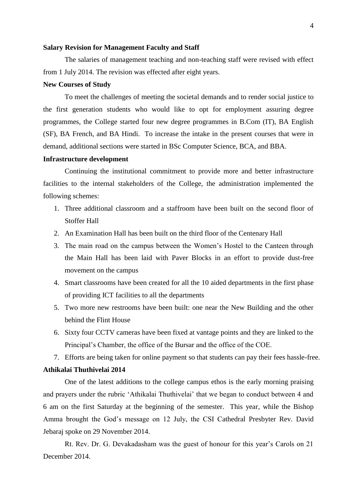#### **Salary Revision for Management Faculty and Staff**

The salaries of management teaching and non-teaching staff were revised with effect from 1 July 2014. The revision was effected after eight years.

#### **New Courses of Study**

To meet the challenges of meeting the societal demands and to render social justice to the first generation students who would like to opt for employment assuring degree programmes, the College started four new degree programmes in B.Com (IT), BA English (SF), BA French, and BA Hindi. To increase the intake in the present courses that were in demand, additional sections were started in BSc Computer Science, BCA, and BBA.

#### **Infrastructure development**

Continuing the institutional commitment to provide more and better infrastructure facilities to the internal stakeholders of the College, the administration implemented the following schemes:

- 1. Three additional classroom and a staffroom have been built on the second floor of Stoffer Hall
- 2. An Examination Hall has been built on the third floor of the Centenary Hall
- 3. The main road on the campus between the Women's Hostel to the Canteen through the Main Hall has been laid with Paver Blocks in an effort to provide dust-free movement on the campus
- 4. Smart classrooms have been created for all the 10 aided departments in the first phase of providing ICT facilities to all the departments
- 5. Two more new restrooms have been built: one near the New Building and the other behind the Flint House
- 6. Sixty four CCTV cameras have been fixed at vantage points and they are linked to the Principal's Chamber, the office of the Bursar and the office of the COE.
- 7. Efforts are being taken for online payment so that students can pay their fees hassle-free.

#### **Athikalai Thuthivelai 2014**

One of the latest additions to the college campus ethos is the early morning praising and prayers under the rubric 'Athikalai Thuthivelai' that we began to conduct between 4 and 6 am on the first Saturday at the beginning of the semester. This year, while the Bishop Amma brought the God's message on 12 July, the CSI Cathedral Presbyter Rev. David Jebaraj spoke on 29 November 2014.

Rt. Rev. Dr. G. Devakadasham was the guest of honour for this year's Carols on 21 December 2014.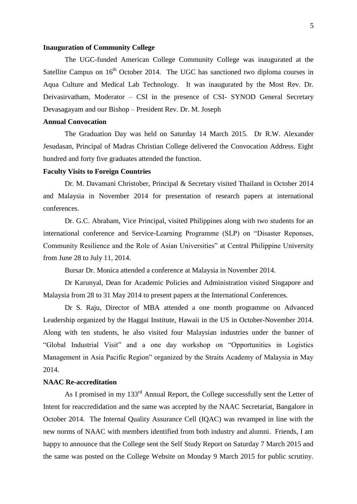#### **Inauguration of Community College**

The UGC-funded American College Community College was inaugurated at the Satellite Campus on  $16<sup>th</sup>$  October 2014. The UGC has sanctioned two diploma courses in Aqua Culture and Medical Lab Technology. It was inaugurated by the Most Rev. Dr. Deivasirvatham, Moderator – CSI in the presence of CSI- SYNOD General Secretary Devasagayam and our Bishop – President Rev. Dr. M. Joseph

### **Annual Convocation**

The Graduation Day was held on Saturday 14 March 2015. Dr R.W. Alexander Jesudasan, Principal of Madras Christian College delivered the Convocation Address. Eight hundred and forty five graduates attended the function.

### **Faculty Visits to Foreign Countries**

Dr. M. Davamani Christober, Principal & Secretary visited Thailand in October 2014 and Malaysia in November 2014 for presentation of research papers at international conferences.

Dr. G.C. Abraham, Vice Principal, visited Philippines along with two students for an international conference and Service-Learning Programme (SLP) on "Disaster Reponses, Community Resilience and the Role of Asian Universities" at Central Philippine University from June 28 to July 11, 2014.

Bursar Dr. Monica attended a conference at Malaysia in November 2014.

Dr Karunyal, Dean for Academic Policies and Administration visited Singapore and Malaysia from 28 to 31 May 2014 to present papers at the International Conferences.

Dr S. Raju, Director of MBA attended a one month programme on Advanced Leadership organized by the Haggai Institute, Hawaii in the US in October-November 2014. Along with ten students, he also visited four Malaysian industries under the banner of "Global Industrial Visit" and a one day workshop on "Opportunities in Logistics Management in Asia Pacific Region" organized by the Straits Academy of Malaysia in May 2014.

#### **NAAC Re-accreditation**

As I promised in my 133<sup>rd</sup> Annual Report, the College successfully sent the Letter of Intent for reaccredidation and the same was accepted by the NAAC Secretariat, Bangalore in October 2014. The Internal Quality Assurance Cell (IQAC) was revamped in line with the new norms of NAAC with members identified from both industry and alumni. Friends, I am happy to announce that the College sent the Self Study Report on Saturday 7 March 2015 and the same was posted on the College Website on Monday 9 March 2015 for public scrutiny.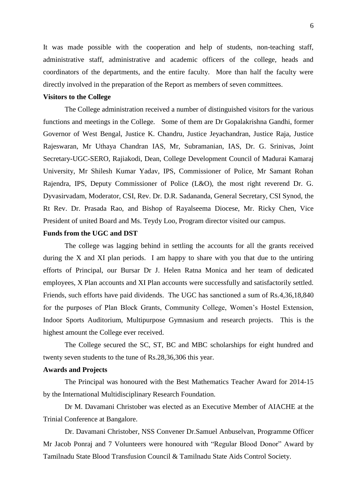It was made possible with the cooperation and help of students, non-teaching staff, administrative staff, administrative and academic officers of the college, heads and coordinators of the departments, and the entire faculty. More than half the faculty were directly involved in the preparation of the Report as members of seven committees.

### **Visitors to the College**

The College administration received a number of distinguished visitors for the various functions and meetings in the College. Some of them are Dr Gopalakrishna Gandhi, former Governor of West Bengal, Justice K. Chandru, Justice Jeyachandran, Justice Raja, Justice Rajeswaran, Mr Uthaya Chandran IAS, Mr, Subramanian, IAS, Dr. G. Srinivas, Joint Secretary-UGC-SERO, Rajiakodi, Dean, College Development Council of Madurai Kamaraj University, Mr Shilesh Kumar Yadav, IPS, Commissioner of Police, Mr Samant Rohan Rajendra, IPS, Deputy Commissioner of Police (L&O), the most right reverend Dr. G. Dyvasirvadam, Moderator, CSI, Rev. Dr. D.R. Sadananda, General Secretary, CSI Synod, the Rt Rev. Dr. Prasada Rao, and Bishop of Rayalseema Diocese, Mr. Ricky Chen, Vice President of united Board and Ms. Teydy Loo, Program director visited our campus.

### **Funds from the UGC and DST**

The college was lagging behind in settling the accounts for all the grants received during the X and XI plan periods. I am happy to share with you that due to the untiring efforts of Principal, our Bursar Dr J. Helen Ratna Monica and her team of dedicated employees, X Plan accounts and XI Plan accounts were successfully and satisfactorily settled. Friends, such efforts have paid dividends. The UGC has sanctioned a sum of Rs.4,36,18,840 for the purposes of Plan Block Grants, Community College, Women's Hostel Extension, Indoor Sports Auditorium, Multipurpose Gymnasium and research projects. This is the highest amount the College ever received.

The College secured the SC, ST, BC and MBC scholarships for eight hundred and twenty seven students to the tune of Rs.28,36,306 this year.

### **Awards and Projects**

The Principal was honoured with the Best Mathematics Teacher Award for 2014-15 by the International Multidisciplinary Research Foundation.

Dr M. Davamani Christober was elected as an Executive Member of AIACHE at the Trinial Conference at Bangalore.

Dr. Davamani Christober, NSS Convener Dr.Samuel Anbuselvan, Programme Officer Mr Jacob Ponraj and 7 Volunteers were honoured with "Regular Blood Donor" Award by Tamilnadu State Blood Transfusion Council & Tamilnadu State Aids Control Society.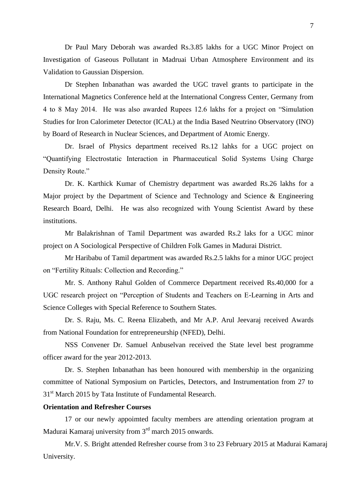Dr Paul Mary Deborah was awarded Rs.3.85 lakhs for a UGC Minor Project on Investigation of Gaseous Pollutant in Madruai Urban Atmosphere Environment and its Validation to Gaussian Dispersion.

Dr Stephen Inbanathan was awarded the UGC travel grants to participate in the International Magnetics Conference held at the International Congress Center, Germany from 4 to 8 May 2014. He was also awarded Rupees 12.6 lakhs for a project on "Simulation Studies for Iron Calorimeter Detector (ICAL) at the India Based Neutrino Observatory (INO) by Board of Research in Nuclear Sciences, and Department of Atomic Energy.

Dr. Israel of Physics department received Rs.12 lahks for a UGC project on "Quantifying Electrostatic Interaction in Pharmaceutical Solid Systems Using Charge Density Route."

Dr. K. Karthick Kumar of Chemistry department was awarded Rs.26 lakhs for a Major project by the Department of Science and Technology and Science & Engineering Research Board, Delhi. He was also recognized with Young Scientist Award by these institutions.

Mr Balakrishnan of Tamil Department was awarded Rs.2 laks for a UGC minor project on A Sociological Perspective of Children Folk Games in Madurai District.

Mr Haribabu of Tamil department was awarded Rs.2.5 lakhs for a minor UGC project on "Fertility Rituals: Collection and Recording."

Mr. S. Anthony Rahul Golden of Commerce Department received Rs.40,000 for a UGC research project on "Perception of Students and Teachers on E-Learning in Arts and Science Colleges with Special Reference to Southern States.

Dr. S. Raju, Ms. C. Reena Elizabeth, and Mr A.P. Arul Jeevaraj received Awards from National Foundation for entrepreneurship (NFED), Delhi.

NSS Convener Dr. Samuel Anbuselvan received the State level best programme officer award for the year 2012-2013.

Dr. S. Stephen Inbanathan has been honoured with membership in the organizing committee of National Symposium on Particles, Detectors, and Instrumentation from 27 to 31<sup>st</sup> March 2015 by Tata Institute of Fundamental Research.

# **Orientation and Refresher Courses**

17 or our newly appoimted faculty members are attending orientation program at Madurai Kamaraj university from 3<sup>rd</sup> march 2015 onwards.

Mr.V. S. Bright attended Refresher course from 3 to 23 February 2015 at Madurai Kamaraj University.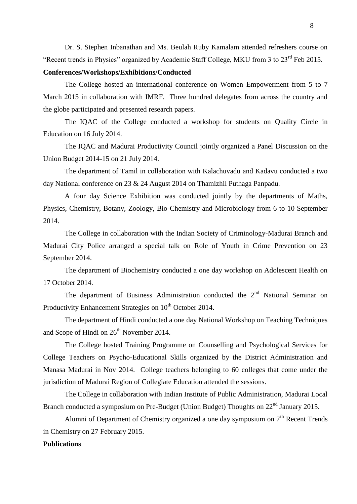Dr. S. Stephen Inbanathan and Ms. Beulah Ruby Kamalam attended refreshers course on "Recent trends in Physics" organized by Academic Staff College, MKU from 3 to 23rd Feb 2015.

#### **Conferences/Workshops/Exhibitions/Conducted**

The College hosted an international conference on Women Empowerment from 5 to 7 March 2015 in collaboration with IMRF. Three hundred delegates from across the country and the globe participated and presented research papers.

The IQAC of the College conducted a workshop for students on Quality Circle in Education on 16 July 2014.

The IQAC and Madurai Productivity Council jointly organized a Panel Discussion on the Union Budget 2014-15 on 21 July 2014.

The department of Tamil in collaboration with Kalachuvadu and Kadavu conducted a two day National conference on 23 & 24 August 2014 on Thamizhil Puthaga Panpadu.

A four day Science Exhibition was conducted jointly by the departments of Maths, Physics, Chemistry, Botany, Zoology, Bio-Chemistry and Microbiology from 6 to 10 September 2014.

The College in collaboration with the Indian Society of Criminology-Madurai Branch and Madurai City Police arranged a special talk on Role of Youth in Crime Prevention on 23 September 2014.

The department of Biochemistry conducted a one day workshop on Adolescent Health on 17 October 2014.

The department of Business Administration conducted the  $2<sup>nd</sup>$  National Seminar on Productivity Enhancement Strategies on 10<sup>th</sup> October 2014.

The department of Hindi conducted a one day National Workshop on Teaching Techniques and Scope of Hindi on  $26<sup>th</sup>$  November 2014.

The College hosted Training Programme on Counselling and Psychological Services for College Teachers on Psycho-Educational Skills organized by the District Administration and Manasa Madurai in Nov 2014. College teachers belonging to 60 colleges that come under the jurisdiction of Madurai Region of Collegiate Education attended the sessions.

The College in collaboration with Indian Institute of Public Administration, Madurai Local Branch conducted a symposium on Pre-Budget (Union Budget) Thoughts on 22<sup>nd</sup> January 2015.

Alumni of Department of Chemistry organized a one day symposium on  $7<sup>th</sup>$  Recent Trends in Chemistry on 27 February 2015.

# **Publications**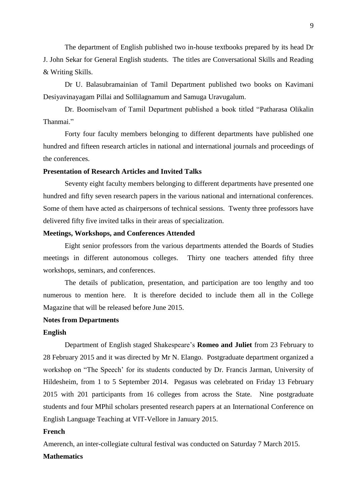The department of English published two in-house textbooks prepared by its head Dr J. John Sekar for General English students. The titles are Conversational Skills and Reading & Writing Skills.

Dr U. Balasubramainian of Tamil Department published two books on Kavimani Desiyavinayagam Pillai and Sollilagnamum and Samuga Uravugalum.

Dr. Boomiselvam of Tamil Department published a book titled "Patharasa Olikalin Thanmai<sup>"</sup>

Forty four faculty members belonging to different departments have published one hundred and fifteen research articles in national and international journals and proceedings of the conferences.

#### **Presentation of Research Articles and Invited Talks**

Seventy eight faculty members belonging to different departments have presented one hundred and fifty seven research papers in the various national and international conferences. Some of them have acted as chairpersons of technical sessions. Twenty three professors have delivered fifty five invited talks in their areas of specialization.

### **Meetings, Workshops, and Conferences Attended**

Eight senior professors from the various departments attended the Boards of Studies meetings in different autonomous colleges. Thirty one teachers attended fifty three workshops, seminars, and conferences.

The details of publication, presentation, and participation are too lengthy and too numerous to mention here. It is therefore decided to include them all in the College Magazine that will be released before June 2015.

#### **Notes from Departments**

#### **English**

Department of English staged Shakespeare's **Romeo and Juliet** from 23 February to 28 February 2015 and it was directed by Mr N. Elango. Postgraduate department organized a workshop on "The Speech' for its students conducted by Dr. Francis Jarman, University of Hildesheim, from 1 to 5 September 2014. Pegasus was celebrated on Friday 13 February 2015 with 201 participants from 16 colleges from across the State. Nine postgraduate students and four MPhil scholars presented research papers at an International Conference on English Language Teaching at VIT-Vellore in January 2015.

#### **French**

Amerench, an inter-collegiate cultural festival was conducted on Saturday 7 March 2015.

### **Mathematics**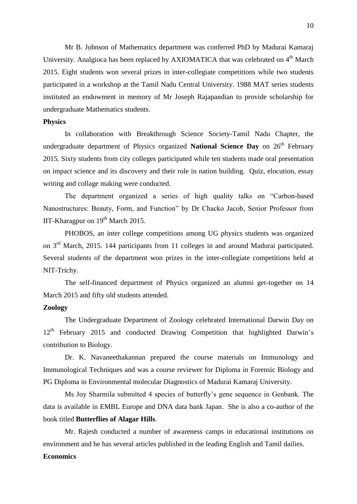Mr B. Johnson of Mathematics department was conferred PhD by Madurai Kamaraj University. Analgioca has been replaced by AXIOMATICA that was celebrated on  $4<sup>th</sup>$  March 2015. Eight students won several prizes in inter-collegiate competitions while two students participated in a workshop at the Tamil Nadu Central University. 1988 MAT series students instituted an endowment in memory of Mr Joseph Rajapandian to provide scholarship for undergraduate Mathematics students.

### **Physics**

In collaboration with Breakthrough Science Society-Tamil Nadu Chapter, the undergraduate department of Physics organized **National Science Day** on  $26<sup>th</sup>$  February 2015. Sixty students from city colleges participated while ten students made oral presentation on impact science and its discovery and their role in nation building. Quiz, elocution, essay writing and collage making were conducted.

The department organized a series of high quality talks on "Carbon-based Nanostructures: Beauty, Form, and Function" by Dr Chacko Jacob, Senior Professor from IIT-Kharagpur on  $19<sup>th</sup>$  March 2015.

PHOBOS, an inter college competitions among UG physics students was organized on 3rd March, 2015. 144 participants from 11 colleges in and around Madurai participated. Several students of the department won prizes in the inter-collegiate competitions held at NIT-Trichy.

The self-financed department of Physics organized an alumni get-together on 14 March 2015 and fifty old students attended.

### **Zoology**

The Undergraduate Department of Zoology celebrated International Darwin Day on  $12<sup>th</sup>$  February 2015 and conducted Drawing Competition that highlighted Darwin's contribution to Biology.

Dr. K. Navaneethakannan prepared the course materials on Immunology and Immunological Techniques and was a course reviewer for Diploma in Forensic Biology and PG Diploma in Environmental molecular Diagnostics of Madurai Kamaraj University.

Ms Joy Sharmila submitted 4 species of butterfly's gene sequence in Genbank. The data is available in EMBL Europe and DNA data bank Japan. She is also a co-author of the book titled **Butterflies of Alagar Hills**.

Mr. Rajesh conducted a number of awareness camps in educational institutions on environment and he has several articles published in the leading English and Tamil dailies.

### **Economics**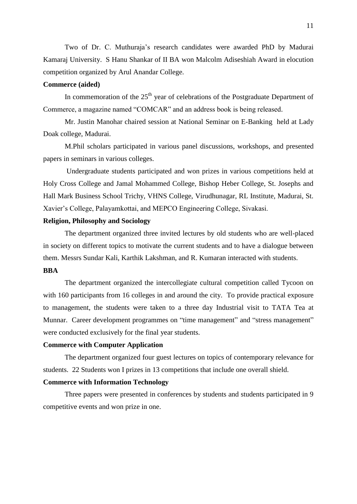Two of Dr. C. Muthuraja's research candidates were awarded PhD by Madurai Kamaraj University. S Hanu Shankar of II BA won Malcolm Adiseshiah Award in elocution competition organized by Arul Anandar College.

### **Commerce (aided)**

In commemoration of the  $25<sup>th</sup>$  year of celebrations of the Postgraduate Department of Commerce, a magazine named "COMCAR" and an address book is being released.

Mr. Justin Manohar chaired session at National Seminar on E-Banking held at Lady Doak college, Madurai.

M.Phil scholars participated in various panel discussions, workshops, and presented papers in seminars in various colleges.

Undergraduate students participated and won prizes in various competitions held at Holy Cross College and Jamal Mohammed College, Bishop Heber College, St. Josephs and Hall Mark Business School Trichy, VHNS College, Virudhunagar, RL Institute, Madurai, St. Xavier's College, Palayamkottai, and MEPCO Engineering College, Sivakasi.

# **Religion, Philosophy and Sociology**

The department organized three invited lectures by old students who are well-placed in society on different topics to motivate the current students and to have a dialogue between them. Messrs Sundar Kali, Karthik Lakshman, and R. Kumaran interacted with students.

# **BBA**

The department organized the intercollegiate cultural competition called Tycoon on with 160 participants from 16 colleges in and around the city. To provide practical exposure to management, the students were taken to a three day Industrial visit to TATA Tea at Munnar. Career development programmes on "time management" and "stress management" were conducted exclusively for the final year students.

### **Commerce with Computer Application**

The department organized four guest lectures on topics of contemporary relevance for students. 22 Students won I prizes in 13 competitions that include one overall shield.

### **Commerce with Information Technology**

Three papers were presented in conferences by students and students participated in 9 competitive events and won prize in one.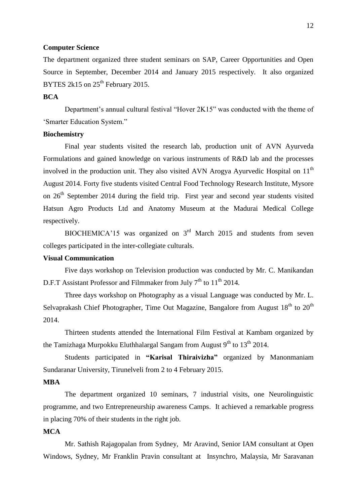#### **Computer Science**

The department organized three student seminars on SAP, Career Opportunities and Open Source in September, December 2014 and January 2015 respectively. It also organized BYTES 2k15 on  $25<sup>th</sup>$  February 2015.

# **BCA**

Department's annual cultural festival "Hover 2K15" was conducted with the theme of 'Smarter Education System."

### **Biochemistry**

Final year students visited the research lab, production unit of AVN Ayurveda Formulations and gained knowledge on various instruments of R&D lab and the processes involved in the production unit. They also visited AVN Arogya Ayurvedic Hospital on  $11<sup>th</sup>$ August 2014. Forty five students visited Central Food Technology Research Institute, Mysore on  $26<sup>th</sup>$  September 2014 during the field trip. First year and second year students visited Hatsun Agro Products Ltd and Anatomy Museum at the Madurai Medical College respectively.

BIOCHEMICA'15 was organized on  $3<sup>rd</sup>$  March 2015 and students from seven colleges participated in the inter-collegiate culturals.

### **Visual Communication**

Five days workshop on Television production was conducted by Mr. C. Manikandan D.F.T Assistant Professor and Filmmaker from July  $7<sup>th</sup>$  to  $11<sup>th</sup>$  2014.

Three days workshop on Photography as a visual Language was conducted by Mr. L. Selvaprakash Chief Photographer, Time Out Magazine, Bangalore from August  $18<sup>th</sup>$  to  $20<sup>th</sup>$ 2014.

Thirteen students attended the International Film Festival at Kambam organized by the Tamizhaga Murpokku Eluthhalargal Sangam from August  $9^{th}$  to  $13^{th}$  2014.

Students participated in **"Karisal Thiraivizha"** organized by Manonmaniam Sundaranar University, Tirunelveli from 2 to 4 February 2015.

### **MBA**

The department organized 10 seminars, 7 industrial visits, one Neurolinguistic programme, and two Entrepreneurship awareness Camps. It achieved a remarkable progress in placing 70% of their students in the right job.

# **MCA**

Mr. Sathish Rajagopalan from Sydney, Mr Aravind, Senior IAM consultant at Open Windows, Sydney, Mr Franklin Pravin consultant at Insynchro, Malaysia, Mr Saravanan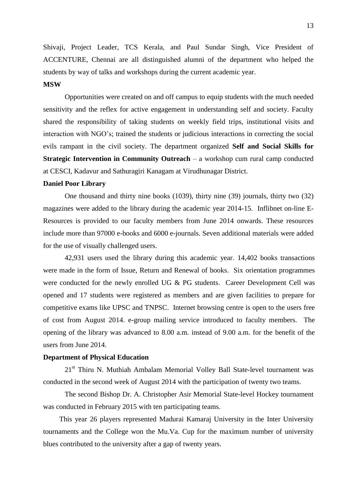Shivaji, Project Leader, TCS Kerala, and Paul Sundar Singh, Vice President of ACCENTURE, Chennai are all distinguished alumni of the department who helped the students by way of talks and workshops during the current academic year.

### **MSW**

Opportunities were created on and off campus to equip students with the much needed sensitivity and the reflex for active engagement in understanding self and society. Faculty shared the responsibility of taking students on weekly field trips, institutional visits and interaction with NGO's; trained the students or judicious interactions in correcting the social evils rampant in the civil society. The department organized **Self and Social Skills for Strategic Intervention in Community Outreach – a workshop cum rural camp conducted** at CESCI, Kadavur and Sathuragiri Kanagam at Virudhunagar District.

#### **Daniel Poor Library**

One thousand and thirty nine books (1039), thirty nine (39) journals, thirty two (32) magazines were added to the library during the academic year 2014-15. Inflibnet on-line E-Resources is provided to our faculty members from June 2014 onwards. These resources include more than 97000 e-books and 6000 e-journals. Seven additional materials were added for the use of visually challenged users.

42,931 users used the library during this academic year. 14,402 books transactions were made in the form of Issue, Return and Renewal of books. Six orientation programmes were conducted for the newly enrolled UG & PG students. Career Development Cell was opened and 17 students were registered as members and are given facilities to prepare for competitive exams like UPSC and TNPSC. Internet browsing centre is open to the users free of cost from August 2014. e-group mailing service introduced to faculty members. The opening of the library was advanced to 8.00 a.m. instead of 9.00 a.m. for the benefit of the users from June 2014.

### **Department of Physical Education**

21<sup>st</sup> Thiru N. Muthiah Ambalam Memorial Volley Ball State-level tournament was conducted in the second week of August 2014 with the participation of twenty two teams.

The second Bishop Dr. A. Christopher Asir Memorial State-level Hockey tournament was conducted in February 2015 with ten participating teams.

This year 26 players represented Madurai Kamaraj University in the Inter University tournaments and the College won the Mu.Va. Cup for the maximum number of university blues contributed to the university after a gap of twenty years.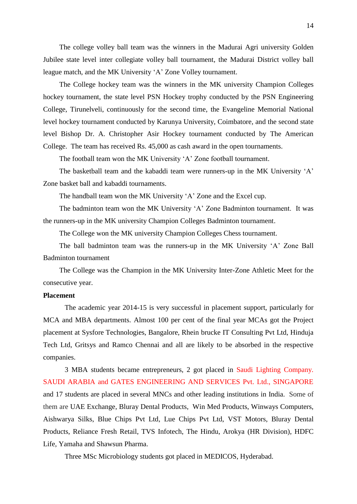The college volley ball team was the winners in the Madurai Agri university Golden Jubilee state level inter collegiate volley ball tournament, the Madurai District volley ball league match, and the MK University 'A' Zone Volley tournament.

The College hockey team was the winners in the MK university Champion Colleges hockey tournament, the state level PSN Hockey trophy conducted by the PSN Engineering College, Tirunelveli, continuously for the second time, the Evangeline Memorial National level hockey tournament conducted by Karunya University, Coimbatore, and the second state level Bishop Dr. A. Christopher Asir Hockey tournament conducted by The American College. The team has received Rs. 45,000 as cash award in the open tournaments.

The football team won the MK University 'A' Zone football tournament.

The basketball team and the kabaddi team were runners-up in the MK University 'A' Zone basket ball and kabaddi tournaments.

The handball team won the MK University 'A' Zone and the Excel cup.

The badminton team won the MK University 'A' Zone Badminton tournament. It was the runners-up in the MK university Champion Colleges Badminton tournament.

The College won the MK university Champion Colleges Chess tournament.

The ball badminton team was the runners-up in the MK University 'A' Zone Ball Badminton tournament

The College was the Champion in the MK University Inter-Zone Athletic Meet for the consecutive year.

### **Placement**

The academic year 2014-15 is very successful in placement support, particularly for MCA and MBA departments. Almost 100 per cent of the final year MCAs got the Project placement at Sysfore Technologies, Bangalore, Rhein brucke IT Consulting Pvt Ltd, Hinduja Tech Ltd, Gritsys and Ramco Chennai and all are likely to be absorbed in the respective companies.

3 MBA students became entrepreneurs, 2 got placed in Saudi Lighting Company. SAUDI ARABIA and GATES ENGINEERING AND SERVICES Pvt. Ltd., SINGAPORE and 17 students are placed in several MNCs and other leading institutions in India. Some of them are UAE Exchange, Bluray Dental Products, Win Med Products, Winways Computers, Aishwarya Silks, Blue Chips Pvt Ltd, Lue Chips Pvt Ltd, VST Motors, Bluray Dental Products, Reliance Fresh Retail, TVS Infotech, The Hindu, Arokya (HR Division), HDFC Life, Yamaha and Shawsun Pharma.

Three MSc Microbiology students got placed in MEDICOS, Hyderabad.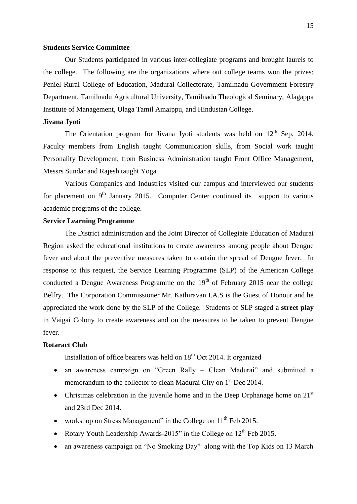#### **Students Service Committee**

Our Students participated in various inter-collegiate programs and brought laurels to the college. The following are the organizations where out college teams won the prizes: Peniel Rural College of Education, Madurai Collectorate, Tamilnadu Government Forestry Department, Tamilnadu Agricultural University, Tamilnadu Theological Seminary, Alagappa Institute of Management, Ulaga Tamil Amaippu, and Hindustan College.

### **Jivana Jyoti**

The Orientation program for Jivana Jyoti students was held on  $12<sup>th</sup>$  Sep. 2014. Faculty members from English taught Communication skills, from Social work taught Personality Development, from Business Administration taught Front Office Management, Messrs Sundar and Rajesh taught Yoga.

Various Companies and Industries visited our campus and interviewed our students for placement on  $9<sup>th</sup>$  January 2015. Computer Center continued its support to various academic programs of the college.

# **Service Learning Programme**

The District administration and the Joint Director of Collegiate Education of Madurai Region asked the educational institutions to create awareness among people about Dengue fever and about the preventive measures taken to contain the spread of Dengue fever. In response to this request, the Service Learning Programme (SLP) of the American College conducted a Dengue Awareness Programme on the  $19<sup>th</sup>$  of February 2015 near the college Belfry. The Corporation Commissioner Mr. Kathiravan I.A.S is the Guest of Honour and he appreciated the work done by the SLP of the College. Students of SLP staged a **street play** in Vaigai Colony to create awareness and on the measures to be taken to prevent Dengue fever.

## **Rotaract Club**

Installation of office bearers was held on  $18<sup>th</sup>$  Oct 2014. It organized

- an awareness campaign on "Green Rally Clean Madurai" and submitted a memorandum to the collector to clean Madurai City on 1<sup>st</sup> Dec 2014.
- Christmas celebration in the juvenile home and in the Deep Orphanage home on  $21<sup>st</sup>$ and 23rd Dec 2014.
- workshop on Stress Management" in the College on  $11<sup>th</sup>$  Feb 2015.
- Rotary Youth Leadership Awards-2015" in the College on  $12^{th}$  Feb 2015.
- an awareness campaign on "No Smoking Day" along with the Top Kids on 13 March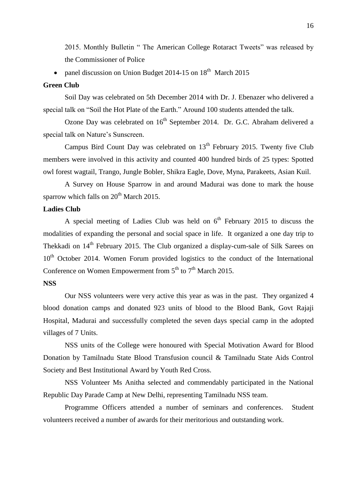2015. Monthly Bulletin " The American College Rotaract Tweets" was released by the Commissioner of Police

• panel discussion on Union Budget 2014-15 on  $18<sup>th</sup>$  March 2015

### **Green Club**

Soil Day was celebrated on 5th December 2014 with Dr. J. Ebenazer who delivered a special talk on "Soil the Hot Plate of the Earth." Around 100 students attended the talk.

Ozone Day was celebrated on 16<sup>th</sup> September 2014. Dr. G.C. Abraham delivered a special talk on Nature's Sunscreen.

Campus Bird Count Day was celebrated on 13<sup>th</sup> February 2015. Twenty five Club members were involved in this activity and counted 400 hundred birds of 25 types: Spotted owl forest wagtail, Trango, Jungle Bobler, Shikra Eagle, Dove, Myna, Parakeets, Asian Kuil.

A Survey on House Sparrow in and around Madurai was done to mark the house sparrow which falls on  $20<sup>th</sup>$  March 2015.

# **Ladies Club**

A special meeting of Ladies Club was held on  $6<sup>th</sup>$  February 2015 to discuss the modalities of expanding the personal and social space in life. It organized a one day trip to Thekkadi on 14<sup>th</sup> February 2015. The Club organized a display-cum-sale of Silk Sarees on  $10<sup>th</sup>$  October 2014. Women Forum provided logistics to the conduct of the International Conference on Women Empowerment from  $5<sup>th</sup>$  to  $7<sup>th</sup>$  March 2015.

## **NSS**

Our NSS volunteers were very active this year as was in the past. They organized 4 blood donation camps and donated 923 units of blood to the Blood Bank, Govt Rajaji Hospital, Madurai and successfully completed the seven days special camp in the adopted villages of 7 Units.

NSS units of the College were honoured with Special Motivation Award for Blood Donation by Tamilnadu State Blood Transfusion council & Tamilnadu State Aids Control Society and Best Institutional Award by Youth Red Cross.

NSS Volunteer Ms Anitha selected and commendably participated in the National Republic Day Parade Camp at New Delhi, representing Tamilnadu NSS team.

Programme Officers attended a number of seminars and conferences. Student volunteers received a number of awards for their meritorious and outstanding work.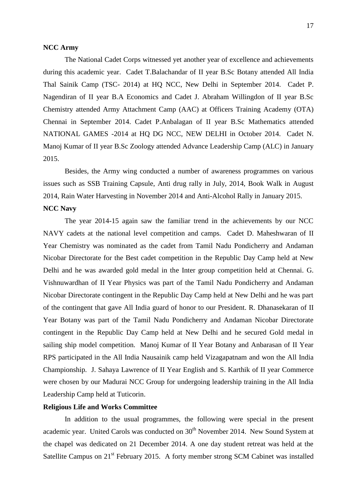#### **NCC Army**

The National Cadet Corps witnessed yet another year of excellence and achievements during this academic year. Cadet T.Balachandar of II year B.Sc Botany attended All India Thal Sainik Camp (TSC- 2014) at HQ NCC, New Delhi in September 2014. Cadet P. Nagendiran of II year B.A Economics and Cadet J. Abraham Willingdon of II year B.Sc Chemistry attended Army Attachment Camp (AAC) at Officers Training Academy (OTA) Chennai in September 2014. Cadet P.Anbalagan of II year B.Sc Mathematics attended NATIONAL GAMES -2014 at HQ DG NCC, NEW DELHI in October 2014. Cadet N. Manoj Kumar of II year B.Sc Zoology attended Advance Leadership Camp (ALC) in January 2015.

Besides, the Army wing conducted a number of awareness programmes on various issues such as SSB Training Capsule, Anti drug rally in July, 2014, Book Walk in August 2014, Rain Water Harvesting in November 2014 and Anti-Alcohol Rally in January 2015.

# **NCC Navy**

The year 2014-15 again saw the familiar trend in the achievements by our NCC NAVY cadets at the national level competition and camps. Cadet D. Maheshwaran of II Year Chemistry was nominated as the cadet from Tamil Nadu Pondicherry and Andaman Nicobar Directorate for the Best cadet competition in the Republic Day Camp held at New Delhi and he was awarded gold medal in the Inter group competition held at Chennai. G. Vishnuwardhan of II Year Physics was part of the Tamil Nadu Pondicherry and Andaman Nicobar Directorate contingent in the Republic Day Camp held at New Delhi and he was part of the contingent that gave All India guard of honor to our President. R. Dhanasekaran of II Year Botany was part of the Tamil Nadu Pondicherry and Andaman Nicobar Directorate contingent in the Republic Day Camp held at New Delhi and he secured Gold medal in sailing ship model competition. Manoj Kumar of II Year Botany and Anbarasan of II Year RPS participated in the All India Nausainik camp held Vizagapatnam and won the All India Championship. J. Sahaya Lawrence of II Year English and S. Karthik of II year Commerce were chosen by our Madurai NCC Group for undergoing leadership training in the All India Leadership Camp held at Tuticorin.

#### **Religious Life and Works Committee**

In addition to the usual programmes, the following were special in the present academic year. United Carols was conducted on  $30<sup>th</sup>$  November 2014. New Sound System at the chapel was dedicated on 21 December 2014. A one day student retreat was held at the Satellite Campus on 21<sup>st</sup> February 2015. A forty member strong SCM Cabinet was installed